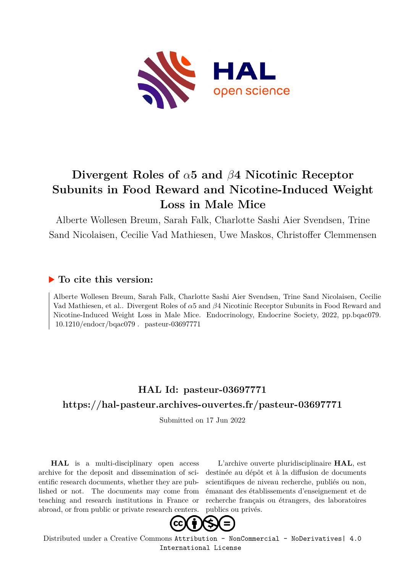

# **Divergent Roles of** *α***5 and** *β***4 Nicotinic Receptor Subunits in Food Reward and Nicotine-Induced Weight Loss in Male Mice**

Alberte Wollesen Breum, Sarah Falk, Charlotte Sashi Aier Svendsen, Trine Sand Nicolaisen, Cecilie Vad Mathiesen, Uwe Maskos, Christoffer Clemmensen

## **To cite this version:**

Alberte Wollesen Breum, Sarah Falk, Charlotte Sashi Aier Svendsen, Trine Sand Nicolaisen, Cecilie Vad Mathiesen, et al.. Divergent Roles of *α*5 and *β*4 Nicotinic Receptor Subunits in Food Reward and Nicotine-Induced Weight Loss in Male Mice. Endocrinology, Endocrine Society, 2022, pp.bqac079.  $10.1210$ /endocr/bqac079. pasteur-03697771

## **HAL Id: pasteur-03697771 <https://hal-pasteur.archives-ouvertes.fr/pasteur-03697771>**

Submitted on 17 Jun 2022

**HAL** is a multi-disciplinary open access archive for the deposit and dissemination of scientific research documents, whether they are published or not. The documents may come from teaching and research institutions in France or abroad, or from public or private research centers.

L'archive ouverte pluridisciplinaire **HAL**, est destinée au dépôt et à la diffusion de documents scientifiques de niveau recherche, publiés ou non, émanant des établissements d'enseignement et de recherche français ou étrangers, des laboratoires publics ou privés.



Distributed under a Creative Commons [Attribution - NonCommercial - NoDerivatives| 4.0](http://creativecommons.org/licenses/by-nc-nd/4.0/) [International License](http://creativecommons.org/licenses/by-nc-nd/4.0/)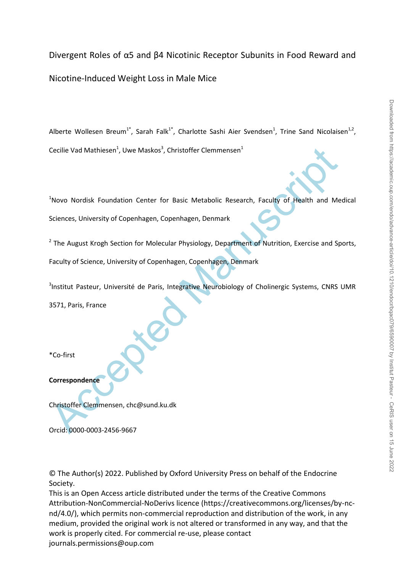Divergent Roles of α5 and β4 Nicotinic Receptor Subunits in Food Reward and Nicotine-Induced Weight Loss in Male Mice

Alberte Wollesen Breum<sup>1\*</sup>, Sarah Falk<sup>1\*</sup>, Charlotte Sashi Aier Svendsen<sup>1</sup>, Trine Sand Nicolaisen<sup>1,2</sup>, Cecilie Vad Mathiesen<sup>1</sup>, Uwe Maskos<sup>3</sup>, Christoffer Clemmensen<sup>1</sup>

<sup>1</sup>Novo Nordisk Foundation Center for Basic Metabolic Research, Faculty of Health and Medical Sciences, University of Copenhagen, Copenhagen, Denmark

<sup>2</sup> The August Krogh Section for Molecular Physiology, Department of Nutrition, Exercise and Sports, Faculty of Science, University of Copenhagen, Copenhagen, Denmark

Cecilie Vad Mathiesen<sup>+</sup>, Uwe Maskos<sup>2</sup>, Christoffer Clemmensen<sup>+</sup><br>
Novo Nordisk Foundation Center for Basic Metabolic Research, Faculty of Flealth and Me<br>
Sciences, University of Copenhagen, Copenhagen, Denmark<br>
<sup>2</sup> The A <sup>3</sup>Institut Pasteur, Université de Paris, Integrative Neurobiology of Cholinergic Systems, CNRS UMR 3571, Paris, France

\*Co-first

**Correspondence**

Christoffer Clemmensen, chc@sund.ku.dk

Orcid: 0000-0003-2456-9667

© The Author(s) 2022. Published by Oxford University Press on behalf of the Endocrine Society.

This is an Open Access article distributed under the terms of the Creative Commons Attribution-NonCommercial-NoDerivs licence (https://creativecommons.org/licenses/by-ncnd/4.0/), which permits non-commercial reproduction and distribution of the work, in any medium, provided the original work is not altered or transformed in any way, and that the work is properly cited. For commercial re-use, please contact journals.permissions@oup.com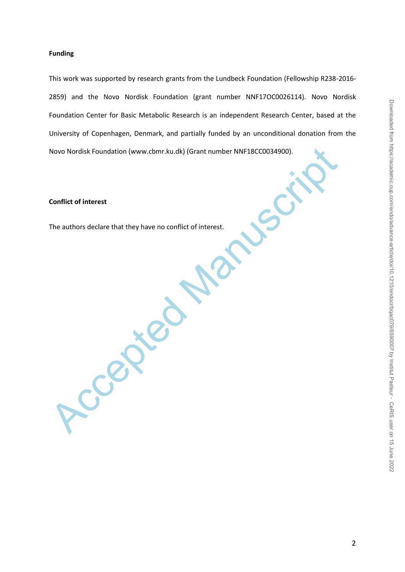### **Funding**

Novo Nordisk Foundation (www.cbmr.ku.dk) (Grant number NNF18CC0034900).<br>Conflict of interest<br>The authors declare that they have no conflict of interest.<br>Accepted Manuscriptic of interest. This work was supported by research grants from the Lundbeck Foundation (Fellowship R238-2016- 2859) and the Novo Nordisk Foundation (grant number NNF17OC0026114). Novo Nordisk Foundation Center for Basic Metabolic Research is an independent Research Center, based at the University of Copenhagen, Denmark, and partially funded by an unconditional donation from the Novo Nordisk Foundation (www.cbmr.ku.dk) (Grant number NNF18CC0034900).

#### **Conflict of interest**

The authors declare that they have no conflict of interest.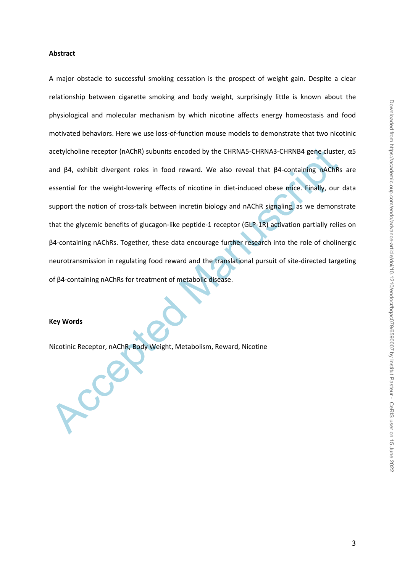#### **Abstract**

acetylcholine receptor (nAChR) subunits encoded by the CHRNAS-CHRNA3-CHRNA9 gene cluster and  $\beta$ 4, exhibit divergent roles in food reward. We also reveal that  $\beta$ 4-containing mAChRs essential for the weight-lowering effe A major obstacle to successful smoking cessation is the prospect of weight gain. Despite a clear relationship between cigarette smoking and body weight, surprisingly little is known about the physiological and molecular mechanism by which nicotine affects energy homeostasis and food motivated behaviors. Here we use loss-of-function mouse models to demonstrate that two nicotinic acetylcholine receptor (nAChR) subunits encoded by the CHRNA5-CHRNA3-CHRNB4 gene cluster, α5 and β4, exhibit divergent roles in food reward. We also reveal that β4-containing nAChRs are essential for the weight-lowering effects of nicotine in diet-induced obese mice. Finally, our data support the notion of cross-talk between incretin biology and nAChR signaling, as we demonstrate that the glycemic benefits of glucagon-like peptide-1 receptor (GLP-1R) activation partially relies on β4-containing nAChRs. Together, these data encourage further research into the role of cholinergic neurotransmission in regulating food reward and the translational pursuit of site-directed targeting of β4-containing nAChRs for treatment of metabolic disease.

#### **Key Words**

Nicotinic Receptor, nAChR, Body Weight, Metabolism, Reward, Nicotine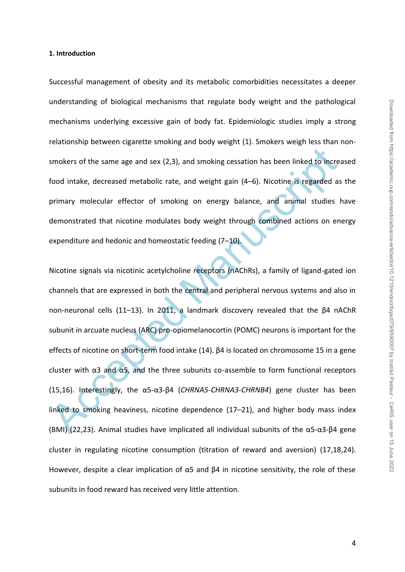#### **1. Introduction**

Successful management of obesity and its metabolic comorbidities necessitates a deeper understanding of biological mechanisms that regulate body weight and the pathological mechanisms underlying excessive gain of body fat. Epidemiologic studies imply a strong relationship between cigarette smoking and body weight (1). Smokers weigh less than nonsmokers of the same age and sex (2,3), and smoking cessation has been linked to increased food intake, decreased metabolic rate, and weight gain (4–6). Nicotine is regarded as the primary molecular effector of smoking on energy balance, and animal studies have demonstrated that nicotine modulates body weight through combined actions on energy expenditure and hedonic and homeostatic feeding (7–10).

smokers of the same age and sex (2,3), and smoking cessation has been linked to increaded intake, decreased metabolic rate, and weight gain (4–6). Nicotine is regarded as<br>primary molecular effector of smoking on energy ba Nicotine signals via nicotinic acetylcholine receptors (nAChRs), a family of ligand-gated ion channels that are expressed in both the central and peripheral nervous systems and also in non-neuronal cells (11–13). In 2011, a landmark discovery revealed that the β4 nAChR subunit in arcuate nucleus (ARC) pro-opiomelanocortin (POMC) neurons is important for the effects of nicotine on short-term food intake (14). β4 is located on chromosome 15 in a gene cluster with  $\alpha$ 3 and  $\alpha$ 5, and the three subunits co-assemble to form functional receptors (15,16). Interestingly, the α5-α3-β4 (*CHRNA5-CHRNA3-CHRNB4*) gene cluster has been linked to smoking heaviness, nicotine dependence (17–21), and higher body mass index (BMI) (22,23). Animal studies have implicated all individual subunits of the α5-α3-β4 gene cluster in regulating nicotine consumption (titration of reward and aversion) (17,18,24). However, despite a clear implication of  $α5$  and  $β4$  in nicotine sensitivity, the role of these subunits in food reward has received very little attention.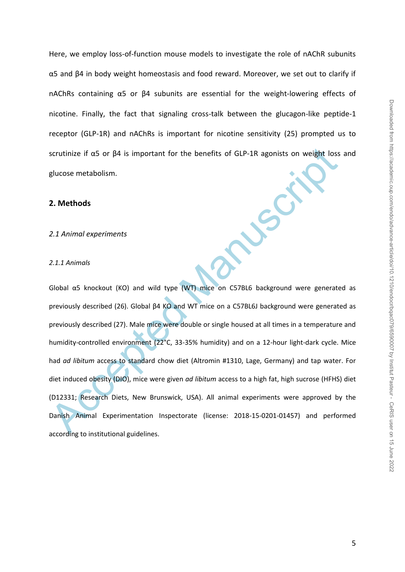Here, we employ loss-of-function mouse models to investigate the role of nAChR subunits α5 and β4 in body weight homeostasis and food reward. Moreover, we set out to clarify if nAChRs containing α5 or β4 subunits are essential for the weight-lowering effects of nicotine. Finally, the fact that signaling cross-talk between the glucagon-like peptide-1 receptor (GLP-1R) and nAChRs is important for nicotine sensitivity (25) prompted us to scrutinize if α5 or β4 is important for the benefits of GLP-1R agonists on weight loss and glucose metabolism.

#### **2. Methods**

*2.1 Animal experiments*

#### *2.1.1 Animals*

scrutinize if aS or β4 is important for the benefits of GLP-1R agonists on weight loss<br>glucose metabolism.<br>2.1.1 Animal experiments<br>2.1.1 Animals<br>6.<br>6. Animals and the experiments and the state of the state Manuscript of t Global α5 knockout (KO) and wild type (WT) mice on C57BL6 background were generated as previously described (26). Global β4 KO and WT mice on a C57BL6J background were generated as previously described (27). Male mice were double or single housed at all times in a temperature and humidity-controlled environment (22°C, 33-35% humidity) and on a 12-hour light-dark cycle. Mice had *ad libitum* access to standard chow diet (Altromin #1310, Lage, Germany) and tap water. For diet induced obesity (DIO), mice were given *ad libitum* access to a high fat, high sucrose (HFHS) diet (D12331; Research Diets, New Brunswick, USA). All animal experiments were approved by the Danish Animal Experimentation Inspectorate (license: 2018-15-0201-01457) and performed according to institutional guidelines.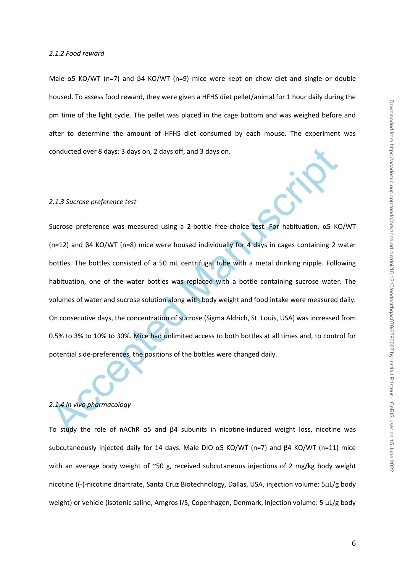#### *2.1.2 Food reward*

Male  $α5$  KO/WT (n=7) and  $β4$  KO/WT (n=9) mice were kept on chow diet and single or double housed. To assess food reward, they were given a HFHS diet pellet/animal for 1 hour daily during the pm time of the light cycle. The pellet was placed in the cage bottom and was weighed before and after to determine the amount of HFHS diet consumed by each mouse. The experiment was conducted over 8 days: 3 days on, 2 days off, and 3 days on.

#### *2.1.3 Sucrose preference test*

conducted over 8 days: 3 days on, 2 days off, and 3 days on.<br>
2.1.3 Sucrose preference test<br>
Sucrose preference test<br>
Sucrose preference test<br>
(n=12) and  $\beta$ 4 KO/WT (n=8) mice were housed individually for 4 days in cages Sucrose preference was measured using a 2-bottle free-choice test. For habituation, α5 KO/WT (n=12) and β4 KO/WT (n=8) mice were housed individually for 4 days in cages containing 2 water bottles. The bottles consisted of a 50 mL centrifugal tube with a metal drinking nipple. Following habituation, one of the water bottles was replaced with a bottle containing sucrose water. The volumes of water and sucrose solution along with body weight and food intake were measured daily. On consecutive days, the concentration of sucrose (Sigma Aldrich, St. Louis, USA) was increased from 0.5% to 3% to 10% to 30%. Mice had unlimited access to both bottles at all times and, to control for potential side-preferences, the positions of the bottles were changed daily.

## *2.1.4 In vivo pharmacology*

To study the role of nAChR α5 and β4 subunits in nicotine-induced weight loss, nicotine was subcutaneously injected daily for 14 days. Male DIO  $\alpha$ 5 KO/WT (n=7) and β4 KO/WT (n=11) mice with an average body weight of ~50 g, received subcutaneous injections of 2 mg/kg body weight nicotine ((-)-nicotine ditartrate, Santa Cruz Biotechnology, Dallas, USA, injection volume: 5µL/g body weight) or vehicle (isotonic saline, Amgros I/S, Copenhagen, Denmark, injection volume: 5 µL/g body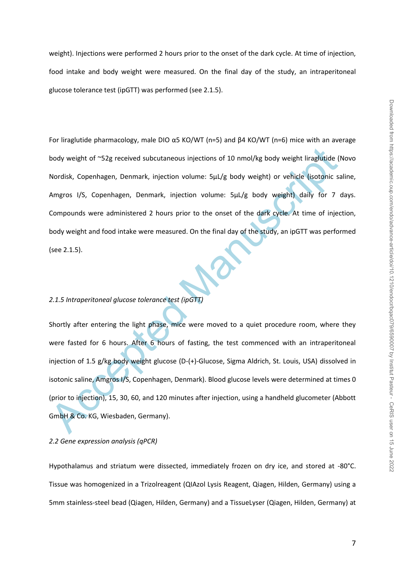weight). Injections were performed 2 hours prior to the onset of the dark cycle. At time of injection, food intake and body weight were measured. On the final day of the study, an intraperitoneal glucose tolerance test (ipGTT) was performed (see 2.1.5).

body weight of ~52g received subcutaneous injections of 10 nmol/kg body weight liraglutide (I<br>
Nordisk, Copenhagen, Denmark, injection volume: 5µL/g body weight) or vehicle (isotonic sa<br>
Amgros 1/5, Copenhagen, Denmark, in For liraglutide pharmacology, male DIO  $\alpha$ 5 KO/WT (n=5) and β4 KO/WT (n=6) mice with an average body weight of ~52g received subcutaneous injections of 10 nmol/kg body weight liraglutide (Novo Nordisk, Copenhagen, Denmark, injection volume: 5µL/g body weight) or vehicle (isotonic saline, Amgros I/S, Copenhagen, Denmark, injection volume: 5µL/g body weight) daily for 7 days. Compounds were administered 2 hours prior to the onset of the dark cycle. At time of injection, body weight and food intake were measured. On the final day of the study, an ipGTT was performed (see 2.1.5).

#### *2.1.5 Intraperitoneal glucose tolerance test (ipGTT)*

Shortly after entering the light phase, mice were moved to a quiet procedure room, where they were fasted for 6 hours. After 6 hours of fasting, the test commenced with an intraperitoneal injection of 1.5 g/kg body weight glucose (D-(+)-Glucose, Sigma Aldrich, St. Louis, USA) dissolved in isotonic saline, Amgros I/S, Copenhagen, Denmark). Blood glucose levels were determined at times 0 (prior to injection), 15, 30, 60, and 120 minutes after injection, using a handheld glucometer (Abbott GmbH & Co. KG, Wiesbaden, Germany).

#### *2.2 Gene expression analysis (qPCR)*

Hypothalamus and striatum were dissected, immediately frozen on dry ice, and stored at -80°C. Tissue was homogenized in a Trizolreagent (QIAzol Lysis Reagent, Qiagen, Hilden, Germany) using a 5mm stainless-steel bead (Qiagen, Hilden, Germany) and a TissueLyser (Qiagen, Hilden, Germany) at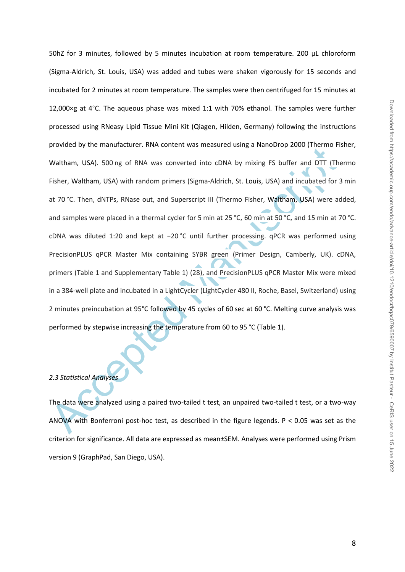Waltham, USA). 500 ng of RNA was converted into cDNA by mixing F5 buffer and DTT (The<br>Waltham, USA). 500 ng of RNA was converted into cDNA by mixing F5 buffer and DTT (The<br>Fisher, Waltham, USA) with random primers (Sigma-A 50hZ for 3 minutes, followed by 5 minutes incubation at room temperature. 200 µL chloroform (Sigma-Aldrich, St. Louis, USA) was added and tubes were shaken vigorously for 15 seconds and incubated for 2 minutes at room temperature. The samples were then centrifuged for 15 minutes at 12,000×g at 4°C. The aqueous phase was mixed 1:1 with 70% ethanol. The samples were further processed using RNeasy Lipid Tissue Mini Kit (Qiagen, Hilden, Germany) following the instructions provided by the manufacturer. RNA content was measured using a NanoDrop 2000 (Thermo Fisher, Waltham, USA). 500 ng of RNA was converted into cDNA by mixing FS buffer and DTT (Thermo Fisher, Waltham, USA) with random primers (Sigma-Aldrich, St. Louis, USA) and incubated for 3 min at 70 °C. Then, dNTPs, RNase out, and Superscript III (Thermo Fisher, Waltham, USA) were added, and samples were placed in a thermal cycler for 5 min at 25 °C, 60 min at 50 °C, and 15 min at 70 °C. cDNA was diluted 1:20 and kept at −20 °C until further processing. qPCR was performed using PrecisionPLUS qPCR Master Mix containing SYBR green (Primer Design, Camberly, UK). cDNA, primers (Table 1 and Supplementary Table 1) (28), and PrecisionPLUS qPCR Master Mix were mixed in a 384-well plate and incubated in a LightCycler (LightCycler 480 II, Roche, Basel, Switzerland) using 2 minutes preincubation at 95°C followed by 45 cycles of 60 sec at 60 °C. Melting curve analysis was performed by stepwise increasing the temperature from 60 to 95 °C (Table 1).

#### *2.3 Statistical Analyses*

The data were analyzed using a paired two-tailed t test, an unpaired two-tailed t test, or a two-way ANOVA with Bonferroni post-hoc test, as described in the figure legends. P < 0.05 was set as the criterion for significance. All data are expressed as mean±SEM. Analyses were performed using Prism version 9 (GraphPad, San Diego, USA).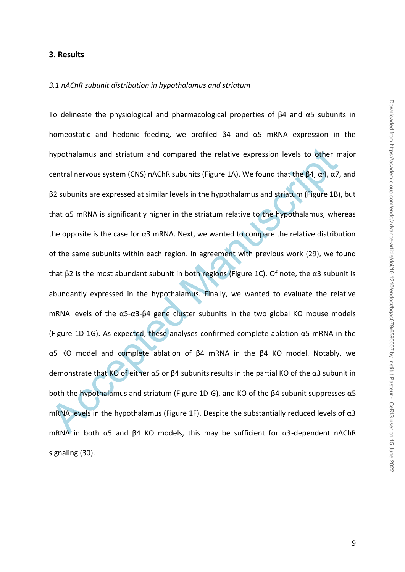## **3. Results**

### *3.1 nAChR subunit distribution in hypothalamus and striatum*

hypothalamus and striatum and compared the relative expression levels to other m<br>central nervous system (CNS) nAChR subunits (Figure 1A). We found that the β4, α4, α7,<br>β2 subunits are expressed at similar levels in the h To delineate the physiological and pharmacological properties of β4 and α5 subunits in homeostatic and hedonic feeding, we profiled β4 and α5 mRNA expression in the hypothalamus and striatum and compared the relative expression levels to other major central nervous system (CNS) nAChR subunits (Figure 1A). We found that the β4, α4, α7, and β2 subunits are expressed at similar levels in the hypothalamus and striatum (Figure 1B), but that  $\alpha$ 5 mRNA is significantly higher in the striatum relative to the hypothalamus, whereas the opposite is the case for  $\alpha$ 3 mRNA. Next, we wanted to compare the relative distribution of the same subunits within each region. In agreement with previous work (29), we found that β2 is the most abundant subunit in both regions (Figure 1C). Of note, the α3 subunit is abundantly expressed in the hypothalamus. Finally, we wanted to evaluate the relative mRNA levels of the α5-α3-β4 gene cluster subunits in the two global KO mouse models (Figure 1D-1G). As expected, these analyses confirmed complete ablation  $\alpha$ 5 mRNA in the α5 KO model and complete ablation of β4 mRNA in the β4 KO model. Notably, we demonstrate that KO of either  $\alpha$ 5 or  $\beta$ 4 subunits results in the partial KO of the  $\alpha$ 3 subunit in both the hypothalamus and striatum (Figure 1D-G), and KO of the β4 subunit suppresses α5 mRNA levels in the hypothalamus (Figure 1F). Despite the substantially reduced levels of  $\alpha$ 3 mRNA in both α5 and β4 KO models, this may be sufficient for α3-dependent nAChR signaling (30).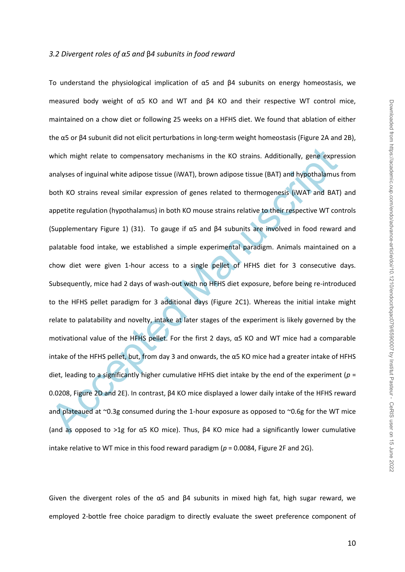#### *3.2 Divergent roles of α5 and* β*4 subunits in food reward*

which might relate to compensatory mechanisms in the KO strains. Additionally, gene expreanalyses of inguinal white adipose tissue (iWAT), brown adipose tissue (BAT) and hypothalamus both KO strains reveal similar expressi To understand the physiological implication of α5 and β4 subunits on energy homeostasis, we measured body weight of α5 KO and WT and β4 KO and their respective WT control mice, maintained on a chow diet or following 25 weeks on a HFHS diet. We found that ablation of either the α5 or β4 subunit did not elicit perturbations in long-term weight homeostasis (Figure 2A and 2B), which might relate to compensatory mechanisms in the KO strains. Additionally, gene expression analyses of inguinal white adipose tissue (iWAT), brown adipose tissue (BAT) and hypothalamus from both KO strains reveal similar expression of genes related to thermogenesis (iWAT and BAT) and appetite regulation (hypothalamus) in both KO mouse strains relative to their respective WT controls (Supplementary Figure 1) (31). To gauge if α5 and β4 subunits are involved in food reward and palatable food intake, we established a simple experimental paradigm. Animals maintained on a chow diet were given 1-hour access to a single pellet of HFHS diet for 3 consecutive days. Subsequently, mice had 2 days of wash-out with no HFHS diet exposure, before being re-introduced to the HFHS pellet paradigm for 3 additional days (Figure 2C1). Whereas the initial intake might relate to palatability and novelty, intake at later stages of the experiment is likely governed by the motivational value of the HFHS pellet. For the first 2 days, α5 KO and WT mice had a comparable intake of the HFHS pellet, but, from day 3 and onwards, the α5 KO mice had a greater intake of HFHS diet, leading to a significantly higher cumulative HFHS diet intake by the end of the experiment (*p* = 0.0208, Figure 2D and 2E). In contrast, β4 KO mice displayed a lower daily intake of the HFHS reward and plateaued at  $\sim$ 0.3g consumed during the 1-hour exposure as opposed to  $\sim$ 0.6g for the WT mice (and as opposed to >1g for α5 KO mice). Thus, β4 KO mice had a significantly lower cumulative intake relative to WT mice in this food reward paradigm (*p* = 0.0084, Figure 2F and 2G).

Given the divergent roles of the  $\alpha$ 5 and  $\beta$ 4 subunits in mixed high fat, high sugar reward, we employed 2-bottle free choice paradigm to directly evaluate the sweet preference component of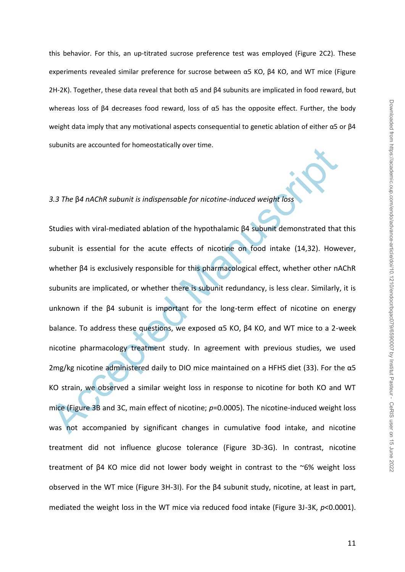this behavior. For this, an up-titrated sucrose preference test was employed (Figure 2C2). These experiments revealed similar preference for sucrose between α5 KO, β4 KO, and WT mice (Figure 2H-2K). Together, these data reveal that both  $\alpha$ 5 and  $\beta$ 4 subunits are implicated in food reward, but whereas loss of β4 decreases food reward, loss of  $α5$  has the opposite effect. Further, the body weight data imply that any motivational aspects consequential to genetic ablation of either α5 or β4 subunits are accounted for homeostatically over time.

## *3.3 The* β*4 nAChR subunit is indispensable for nicotine-induced weight loss*

3.3 The  $\beta$ 4 nAChR subunit is indispensable for nicotine-induced weight loss<br>3.3 The  $\beta$ 4 nAChR subunit is indispensable for nicotine-induced weight loss<br>Studies with viral-mediated ablation of the hypothalamic  $\beta$ 4 su Studies with viral-mediated ablation of the hypothalamic β4 subunit demonstrated that this subunit is essential for the acute effects of nicotine on food intake (14,32). However, whether β4 is exclusively responsible for this pharmacological effect, whether other nAChR subunits are implicated, or whether there is subunit redundancy, is less clear. Similarly, it is unknown if the β4 subunit is important for the long-term effect of nicotine on energy balance. To address these questions, we exposed  $\alpha$ 5 KO,  $\beta$ 4 KO, and WT mice to a 2-week nicotine pharmacology treatment study. In agreement with previous studies, we used 2mg/kg nicotine administered daily to DIO mice maintained on a HFHS diet (33). For the  $\alpha$ 5 KO strain, we observed a similar weight loss in response to nicotine for both KO and WT mice (Figure 3B and 3C, main effect of nicotine; *p*=0.0005). The nicotine-induced weight loss was not accompanied by significant changes in cumulative food intake, and nicotine treatment did not influence glucose tolerance (Figure 3D-3G). In contrast, nicotine treatment of β4 KO mice did not lower body weight in contrast to the ~6% weight loss observed in the WT mice (Figure 3H-3I). For the β4 subunit study, nicotine, at least in part, mediated the weight loss in the WT mice via reduced food intake (Figure 3J-3K, *p*<0.0001).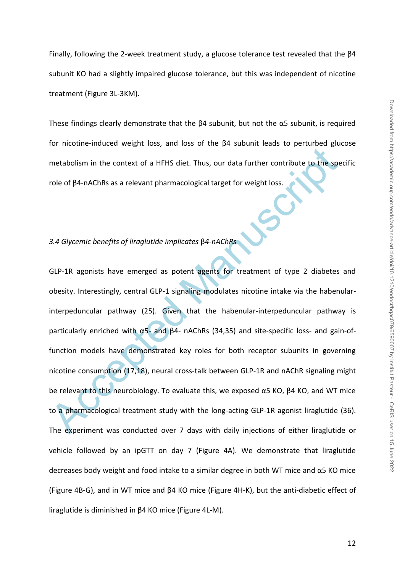Finally, following the 2-week treatment study, a glucose tolerance test revealed that the β4 subunit KO had a slightly impaired glucose tolerance, but this was independent of nicotine treatment (Figure 3L-3KM).

These findings clearly demonstrate that the β4 subunit, but not the α5 subunit, is required for nicotine-induced weight loss, and loss of the β4 subunit leads to perturbed glucose metabolism in the context of a HFHS diet. Thus, our data further contribute to the specific role of β4-nAChRs as a relevant pharmacological target for weight loss.

## *3.4 Glycemic benefits of liraglutide implicates* β*4-nAChRs*

metabolism in the context of a HFHS diet. Thus, our data further contribute to the species of B4-nAChRs as a relevant pharmacological target for weight loss.<br>
3.4 Glycemic benefits of liregulatide implicates  $\beta$ 4-nAChRs<br> GLP-1R agonists have emerged as potent agents for treatment of type 2 diabetes and obesity. Interestingly, central GLP-1 signaling modulates nicotine intake via the habenularinterpeduncular pathway (25). Given that the habenular-interpeduncular pathway is particularly enriched with α5- and β4- nAChRs (34,35) and site-specific loss- and gain-offunction models have demonstrated key roles for both receptor subunits in governing nicotine consumption (17,18), neural cross-talk between GLP-1R and nAChR signaling might be relevant to this neurobiology. To evaluate this, we exposed  $\alpha$ 5 KO,  $\beta$ 4 KO, and WT mice to a pharmacological treatment study with the long-acting GLP-1R agonist liraglutide (36). The experiment was conducted over 7 days with daily injections of either liraglutide or vehicle followed by an ipGTT on day 7 (Figure 4A). We demonstrate that liraglutide decreases body weight and food intake to a similar degree in both WT mice and α5 KO mice (Figure 4B-G), and in WT mice and β4 KO mice (Figure 4H-K), but the anti-diabetic effect of liraglutide is diminished in β4 KO mice (Figure 4L-M).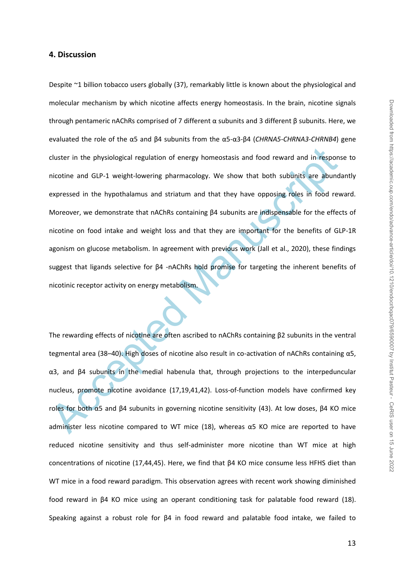#### **4. Discussion**

cluster in the physiological regulation of energy homeostasis and food reward and in responsion-<br>incotine and GLP-1 weight-lowering pharmacology. We show that both subunits are abund<br>expressed in the hypothalamus and stria Despite ~1 billion tobacco users globally (37), remarkably little is known about the physiological and molecular mechanism by which nicotine affects energy homeostasis. In the brain, nicotine signals through pentameric nAChRs comprised of 7 different α subunits and 3 different β subunits. Here, we evaluated the role of the α5 and β4 subunits from the α5-α3-β4 (*CHRNA5-CHRNA3-CHRNB4*) gene cluster in the physiological regulation of energy homeostasis and food reward and in response to nicotine and GLP-1 weight-lowering pharmacology. We show that both subunits are abundantly expressed in the hypothalamus and striatum and that they have opposing roles in food reward. Moreover, we demonstrate that nAChRs containing β4 subunits are indispensable for the effects of nicotine on food intake and weight loss and that they are important for the benefits of GLP-1R agonism on glucose metabolism. In agreement with previous work (Jall et al., 2020), these findings suggest that ligands selective for β4 -nAChRs hold promise for targeting the inherent benefits of nicotinic receptor activity on energy metabolism.

The rewarding effects of nicotine are often ascribed to nAChRs containing β2 subunits in the ventral tegmental area (38–40). High doses of nicotine also result in co-activation of nAChRs containing α5, α3, and β4 subunits in the medial habenula that, through projections to the interpeduncular nucleus, promote nicotine avoidance (17,19,41,42). Loss-of-function models have confirmed key roles for both α5 and β4 subunits in governing nicotine sensitivity (43). At low doses, β4 KO mice administer less nicotine compared to WT mice (18), whereas  $\alpha$ 5 KO mice are reported to have reduced nicotine sensitivity and thus self-administer more nicotine than WT mice at high concentrations of nicotine (17,44,45). Here, we find that β4 KO mice consume less HFHS diet than WT mice in a food reward paradigm. This observation agrees with recent work showing diminished food reward in β4 KO mice using an operant conditioning task for palatable food reward (18). Speaking against a robust role for β4 in food reward and palatable food intake, we failed to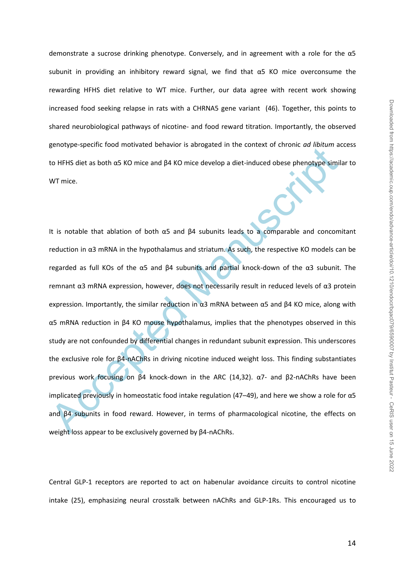demonstrate a sucrose drinking phenotype. Conversely, and in agreement with a role for the α5 subunit in providing an inhibitory reward signal, we find that α5 KO mice overconsume the rewarding HFHS diet relative to WT mice. Further, our data agree with recent work showing increased food seeking relapse in rats with a CHRNA5 gene variant (46). Together, this points to shared neurobiological pathways of nicotine- and food reward titration. Importantly, the observed genotype-specific food motivated behavior is abrogated in the context of chronic *ad libitum* access to HFHS diet as both α5 KO mice and β4 KO mice develop a diet-induced obese phenotype similar to WT mice.

Etheration of B4 RC motivation is a subgrade in the context of chronic constraints in the HFHS diet as both aS KO mice and β4 KO mice develop a diet-induced obsee phenotype simil<br>WT mice.<br>WT mice.<br>The motion in α3 mRNA in It is notable that ablation of both α5 and β4 subunits leads to a comparable and concomitant reduction in α3 mRNA in the hypothalamus and striatum. As such, the respective KO models can be regarded as full KOs of the α5 and β4 subunits and partial knock-down of the α3 subunit. The remnant α3 mRNA expression, however, does not necessarily result in reduced levels of α3 protein expression. Importantly, the similar reduction in  $\alpha$ 3 mRNA between  $\alpha$ 5 and β4 KO mice, along with α5 mRNA reduction in β4 KO mouse hypothalamus, implies that the phenotypes observed in this study are not confounded by differential changes in redundant subunit expression. This underscores the exclusive role for β4-nAChRs in driving nicotine induced weight loss. This finding substantiates previous work focusing on β4 knock-down in the ARC (14,32). α7- and β2-nAChRs have been implicated previously in homeostatic food intake regulation (47–49), and here we show a role for α5 and β4 subunits in food reward. However, in terms of pharmacological nicotine, the effects on weight loss appear to be exclusively governed by β4-nAChRs.

Central GLP-1 receptors are reported to act on habenular avoidance circuits to control nicotine intake (25), emphasizing neural crosstalk between nAChRs and GLP-1Rs. This encouraged us to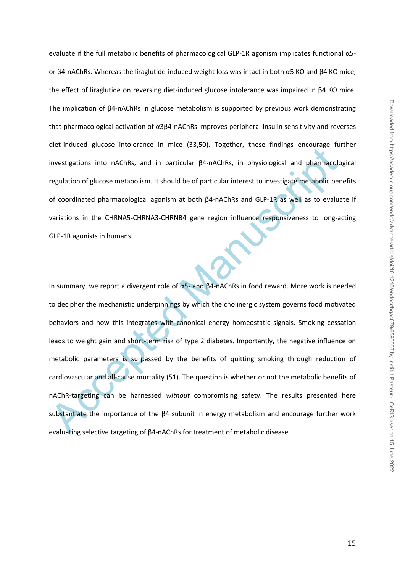evaluate if the full metabolic benefits of pharmacological GLP-1R agonism implicates functional α5 or β4-nAChRs. Whereas the liraglutide-induced weight loss was intact in both α5 KO and β4 KO mice, the effect of liraglutide on reversing diet-induced glucose intolerance was impaired in β4 KO mice. The implication of β4-nAChRs in glucose metabolism is supported by previous work demonstrating that pharmacological activation of α3β4-nAChRs improves peripheral insulin sensitivity and reverses diet-induced glucose intolerance in mice (33,50). Together, these findings encourage further investigations into nAChRs, and in particular β4-nAChRs, in physiological and pharmacological regulation of glucose metabolism. It should be of particular interest to investigate metabolic benefits of coordinated pharmacological agonism at both β4-nAChRs and GLP-1R as well as to evaluate if variations in the CHRNA5-CHRNA3-CHRNB4 gene region influence responsiveness to long-acting GLP-1R agonists in humans.

the motetal glatese infortainte in finite (33,59). Figencia, these inforting entitings entitled interstigations into nAChRs, and in particular β4-nAChRs, in physiological and pharmacological and pharmacological and pharma In summary, we report a divergent role of  $α5$ - and  $β$ 4-nAChRs in food reward. More work is needed to decipher the mechanistic underpinnings by which the cholinergic system governs food motivated behaviors and how this integrates with canonical energy homeostatic signals. Smoking cessation leads to weight gain and short-term risk of type 2 diabetes. Importantly, the negative influence on metabolic parameters is surpassed by the benefits of quitting smoking through reduction of cardiovascular and all-cause mortality (51). The question is whether or not the metabolic benefits of nAChR-targeting can be harnessed *without* compromising safety. The results presented here substantiate the importance of the β4 subunit in energy metabolism and encourage further work evaluating selective targeting of β4-nAChRs for treatment of metabolic disease.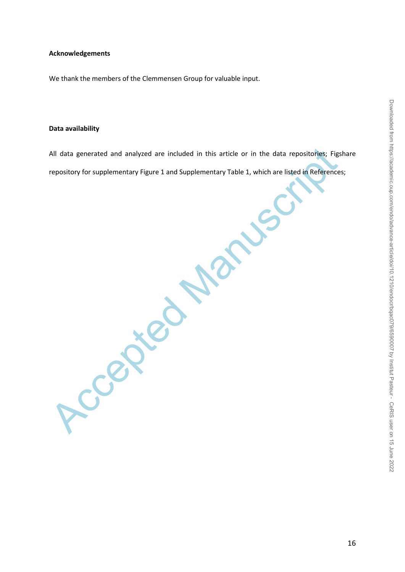## **Acknowledgements**

We thank the members of the Clemmensen Group for valuable input.

Accepted Manuscript

## **Data availability**

All data generated and analyzed are included in this article or in the data repositories; Figshare repository for supplementary Figure 1 and Supplementary Table 1, which are listed in References;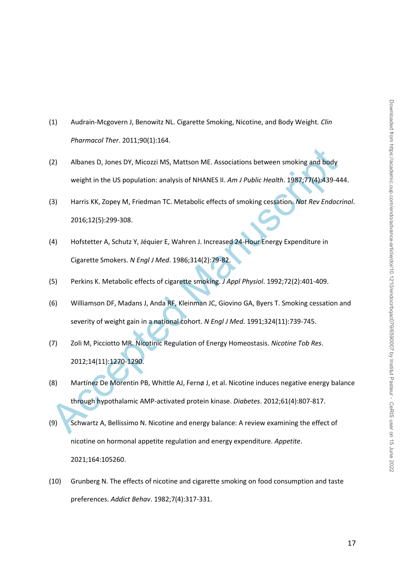- (1) Audrain-Mcgovern J, Benowitz NL. Cigarette Smoking, Nicotine, and Body Weight. *Clin Pharmacol Ther*. 2011;90(1):164.
- (2) Albanes D, Jones DY, Micozzi MS, Mattson ME. Associations between smoking and body weight in the US population: analysis of NHANES II. *Am J Public Health*. 1987;77(4):439-444.
- (3) Harris KK, Zopey M, Friedman TC. Metabolic effects of smoking cessation. *Nat Rev Endocrinol*. 2016;12(5):299-308.
- (4) Hofstetter A, Schutz Y, Jéquier E, Wahren J. Increased 24-Hour Energy Expenditure in Cigarette Smokers. *N Engl J Med*. 1986;314(2):79-82.
- (5) Perkins K. Metabolic effects of cigarette smoking. *J Appl Physiol*. 1992;72(2):401-409.
- (6) Williamson DF, Madans J, Anda RF, Kleinman JC, Giovino GA, Byers T. Smoking cessation and severity of weight gain in a national cohort. *N Engl J Med*. 1991;324(11):739-745.
- (7) Zoli M, Picciotto MR. Nicotinic Regulation of Energy Homeostasis. *Nicotine Tob Res*. 2012;14(11):1270-1290.
- (2) Albanes D, Jones DY, Micozzi MS, Mattson ME. Associations between smoking and body<br>
weight in the US population: analysis of NHANES II. *Am J Public Health.* 1987;77(4):439-44<br>
13) Harris KK, Zopey M, Friedman TC. Met (8) Martínez De Morentin PB, Whittle AJ, Fernø J, et al. Nicotine induces negative energy balance through hypothalamic AMP-activated protein kinase. *Diabetes*. 2012;61(4):807-817.
- (9) Schwartz A, Bellissimo N. Nicotine and energy balance: A review examining the effect of nicotine on hormonal appetite regulation and energy expenditure. *Appetite*. 2021;164:105260.
- (10) Grunberg N. The effects of nicotine and cigarette smoking on food consumption and taste preferences. *Addict Behav*. 1982;7(4):317-331.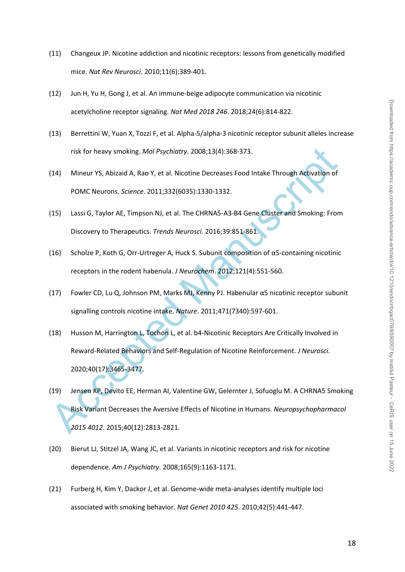- (11) Changeux JP. Nicotine addiction and nicotinic receptors: lessons from genetically modified mice. *Nat Rev Neurosci*. 2010;11(6):389-401.
- (12) Jun H, Yu H, Gong J, et al. An immune-beige adipocyte communication via nicotinic acetylcholine receptor signaling. *Nat Med 2018 246*. 2018;24(6):814-822.
- (13) Berrettini W, Yuan X, Tozzi F, et al. Alpha-5/alpha-3 nicotinic receptor subunit alleles increase risk for heavy smoking. *Mol Psychiatry*. 2008;13(4):368-373.
- (14) Mineur YS, Abizaid A, Rao Y, et al. Nicotine Decreases Food Intake Through Activation of POMC Neurons. *Science*. 2011;332(6035):1330-1332.
- (15) Lassi G, Taylor AE, Timpson NJ, et al. The CHRNA5-A3-B4 Gene Cluster and Smoking: From Discovery to Therapeutics. *Trends Neurosci*. 2016;39:851-861.
- (16) Scholze P, Koth G, Orr-Urtreger A, Huck S. Subunit composition of  $\alpha$ 5-containing nicotinic receptors in the rodent habenula. *J Neurochem*. 2012;121(4):551-560.
- (17) Fowler CD, Lu Q, Johnson PM, Marks MJ, Kenny PJ. Habenular α5 nicotinic receptor subunit signalling controls nicotine intake. *Nature*. 2011;471(7340):597-601.
- risk for heavy smoking. *Mol Psychiatry*. 2008;13(4):368-373.<br>
(14) Mineur YS, Abizaid A, Rao Y, et al. Nicotine Decreases Food Intake Through Activation of<br>
POMC Neurons. Science. 2011;332(6035):1330-1332.<br>
(15) Lassi G, (18) Husson M, Harrington L, Tochon L, et al. b4-Nicotinic Receptors Are Critically Involved in Reward-Related Behaviors and Self-Regulation of Nicotine Reinforcement. *J Neurosci*. 2020;40(17):3465-3477.
- (19) Jensen KP, Devito EE, Herman AI, Valentine GW, Gelernter J, Sofuoglu M. A CHRNA5 Smoking Risk Variant Decreases the Aversive Effects of Nicotine in Humans. *Neuropsychopharmacol 2015 4012*. 2015;40(12):2813-2821.
- (20) Bierut LJ, Stitzel JA, Wang JC, et al. Variants in nicotinic receptors and risk for nicotine dependence. *Am J Psychiatry*. 2008;165(9):1163-1171.
- (21) Furberg H, Kim Y, Dackor J, et al. Genome-wide meta-analyses identify multiple loci associated with smoking behavior. *Nat Genet 2010 425*. 2010;42(5):441-447.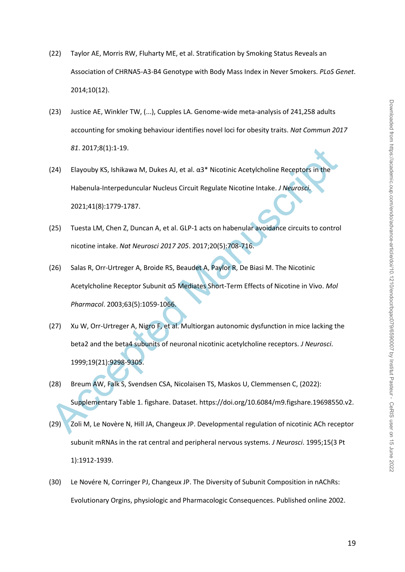- (22) Taylor AE, Morris RW, Fluharty ME, et al. Stratification by Smoking Status Reveals an Association of CHRNA5-A3-B4 Genotype with Body Mass Index in Never Smokers. *PLoS Genet*. 2014;10(12).
- (23) Justice AE, Winkler TW, (...), Cupples LA. Genome-wide meta-analysis of 241,258 adults accounting for smoking behaviour identifies novel loci for obesity traits. *Nat Commun 2017 81*. 2017;8(1):1-19.
- (24) Elayouby KS, Ishikawa M, Dukes AJ, et al.  $\alpha$ 3\* Nicotinic Acetylcholine Receptors in the Habenula-Interpeduncular Nucleus Circuit Regulate Nicotine Intake. *J Neurosci*. 2021;41(8):1779-1787.
- (25) Tuesta LM, Chen Z, Duncan A, et al. GLP-1 acts on habenular avoidance circuits to control nicotine intake. *Nat Neurosci 2017 205*. 2017;20(5):708-716.
- (26) Salas R, Orr-Urtreger A, Broide RS, Beaudet A, Paylor R, De Biasi M. The Nicotinic Acetylcholine Receptor Subunit α5 Mediates Short-Term Effects of Nicotine in Vivo. *Mol Pharmacol*. 2003;63(5):1059-1066.
- 81. 2017;8(1):1-19.<br>
(24) Elayouby KS, Ishikawa M, Dukes AJ, et al.  $a3^*$  Nicotinic Acetylcholine Receptors in the<br>
Habenula-Interpeduncular Nucleus Circuit Regulate Nicotine Intake. J Neurosid.<br>
2021;41(8):1779-1787.<br>
(2 (27) Xu W, Orr-Urtreger A, Nigro F, et al. Multiorgan autonomic dysfunction in mice lacking the beta2 and the beta4 subunits of neuronal nicotinic acetylcholine receptors. *J Neurosci*. 1999;19(21):9298-9305.
- (28) Breum AW, Falk S, Svendsen CSA, Nicolaisen TS, Maskos U, Clemmensen C, (2022): Supplementary Table 1. figshare. Dataset. https://doi.org/10.6084/m9.figshare.19698550.v2.
- (29) Zoli M, Le Novère N, Hill JA, Changeux JP. Developmental regulation of nicotinic ACh receptor subunit mRNAs in the rat central and peripheral nervous systems. *J Neurosci*. 1995;15(3 Pt 1):1912-1939.
- (30) Le Novére N, Corringer PJ, Changeux JP. The Diversity of Subunit Composition in nAChRs: Evolutionary Orgins, physiologic and Pharmacologic Consequences. Published online 2002.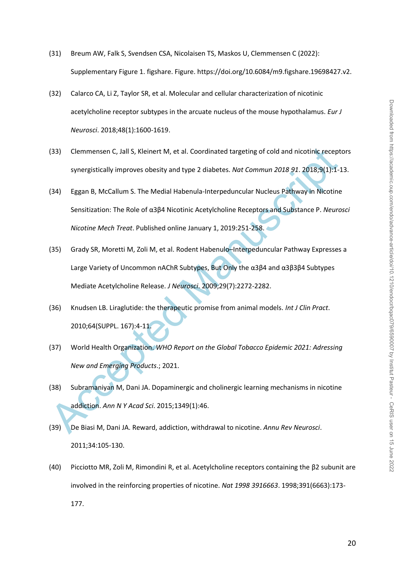- (31) Breum AW, Falk S, Svendsen CSA, Nicolaisen TS, Maskos U, Clemmensen C (2022): Supplementary Figure 1. figshare. Figure. https://doi.org/10.6084/m9.figshare.19698427.v2.
- (32) Calarco CA, Li Z, Taylor SR, et al. Molecular and cellular characterization of nicotinic acetylcholine receptor subtypes in the arcuate nucleus of the mouse hypothalamus. *Eur J Neurosci*. 2018;48(1):1600-1619.
- (33) Clemmensen C, Jall S, Kleinert M, et al. Coordinated targeting of cold and nicotinic receptors synergistically improves obesity and type 2 diabetes. *Nat Commun 2018 91*. 2018;9(1):1-13.
- (34) Eggan B, McCallum S. The Medial Habenula-Interpeduncular Nucleus Pathway in Nicotine Sensitization: The Role of α3β4 Nicotinic Acetylcholine Receptors and Substance P. *Neurosci Nicotine Mech Treat*. Published online January 1, 2019:251-258.
- (33) Clemmensen C, Jail S, Kleinert M, et al. Coordinated targeting of cold and nicotinic recept<br>synergistically improves obesity and type 2 diabetes. Nat Commun 2018 91. 2018;9(1):1-1<br>(34) Eggan B, McCallum S. The Medial (35) Grady SR, Moretti M, Zoli M, et al. Rodent Habenulo–Interpeduncular Pathway Expresses a Large Variety of Uncommon nAChR Subtypes, But Only the α3β4 and α3β3β4 Subtypes Mediate Acetylcholine Release. *J Neurosci*. 2009;29(7):2272-2282.
- (36) Knudsen LB. Liraglutide: the therapeutic promise from animal models. *Int J Clin Pract*. 2010;64(SUPPL. 167):4-11.
- (37) World Health Organization. *WHO Report on the Global Tobacco Epidemic 2021: Adressing New and Emerging Products*.; 2021.
- (38) Subramaniyan M, Dani JA. Dopaminergic and cholinergic learning mechanisms in nicotine addiction. *Ann N Y Acad Sci*. 2015;1349(1):46.
- (39) De Biasi M, Dani JA. Reward, addiction, withdrawal to nicotine. *Annu Rev Neurosci*. 2011;34:105-130.
- (40) Picciotto MR, Zoli M, Rimondini R, et al. Acetylcholine receptors containing the β2 subunit are involved in the reinforcing properties of nicotine. *Nat 1998 3916663*. 1998;391(6663):173- 177.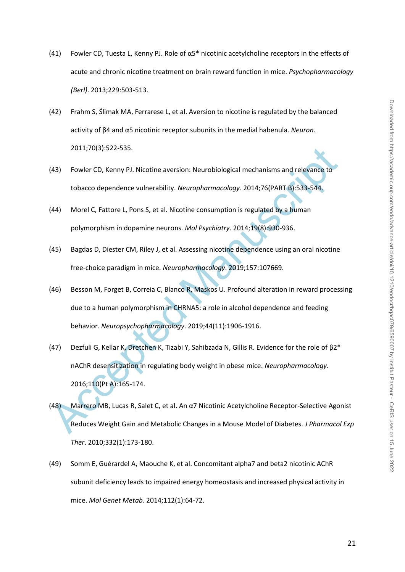- (41) Fowler CD, Tuesta L, Kenny PJ. Role of  $\alpha$ 5\* nicotinic acetylcholine receptors in the effects of acute and chronic nicotine treatment on brain reward function in mice. *Psychopharmacology (Berl)*. 2013;229:503-513.
- (42) Frahm S, Ślimak MA, Ferrarese L, et al. Aversion to nicotine is regulated by the balanced activity of β4 and α5 nicotinic receptor subunits in the medial habenula. *Neuron*. 2011;70(3):522-535.
- (43) Fowler CD, Kenny PJ. Nicotine aversion: Neurobiological mechanisms and relevance to tobacco dependence vulnerability. *Neuropharmacology*. 2014;76(PART B):533-544.
- (44) Morel C, Fattore L, Pons S, et al. Nicotine consumption is regulated by a human polymorphism in dopamine neurons. *Mol Psychiatry*. 2014;19(8):930-936.
- (45) Bagdas D, Diester CM, Riley J, et al. Assessing nicotine dependence using an oral nicotine free-choice paradigm in mice. *Neuropharmacology*. 2019;157:107669.
- 2011;70(3):522-535.<br>
43) Fowler CD, Kenny PJ. Nicotine aversion: Neurobiological mechanisms and relevance to<br>
tobacco dependence vulnerability. *Neuropharmocology*. 2014;76(PART B):533-544.<br>
44) Morel C, Fattore L, Pons S, (46) Besson M, Forget B, Correia C, Blanco R, Maskos U. Profound alteration in reward processing due to a human polymorphism in CHRNA5: a role in alcohol dependence and feeding behavior. *Neuropsychopharmacology*. 2019;44(11):1906-1916.
- (47) Dezfuli G, Kellar K, Dretchen K, Tizabi Y, Sahibzada N, Gillis R. Evidence for the role of β2\* nAChR desensitization in regulating body weight in obese mice. *Neuropharmacology*. 2016;110(Pt A):165-174.
- (48) Marrero MB, Lucas R, Salet C, et al. An α7 Nicotinic Acetylcholine Receptor-Selective Agonist Reduces Weight Gain and Metabolic Changes in a Mouse Model of Diabetes. *J Pharmacol Exp Ther*. 2010;332(1):173-180.
- (49) Somm E, Guérardel A, Maouche K, et al. Concomitant alpha7 and beta2 nicotinic AChR subunit deficiency leads to impaired energy homeostasis and increased physical activity in mice. *Mol Genet Metab*. 2014;112(1):64-72.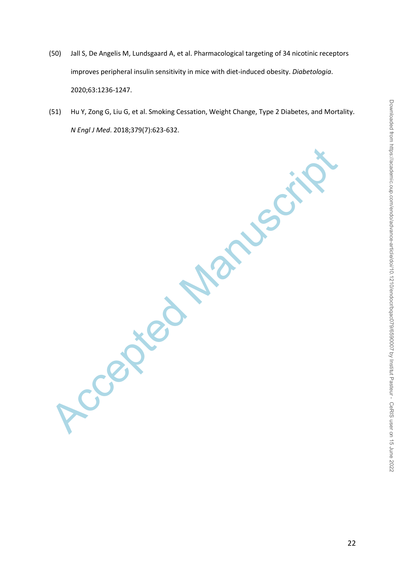- Downloaded from https://academic.oup.com/endo/advance-article/doi/10.1210/endocr/bqac079/6590007 by Institut Pasteur CeRIS user on 15 June 2022 Downloaded from https://academic.oup.com/endo/advance-article/doi/10.1210/endocr/bqac079/6590007 by Institut Pasteur - CeRIS user on 15 June 2022
- (50) Jall S, De Angelis M, Lundsgaard A, et al. Pharmacological targeting of 34 nicotinic receptors improves peripheral insulin sensitivity in mice with diet-induced obesity. *Diabetologia*. 2020;63:1236-1247.
- (51) Hu Y, Zong G, Liu G, et al. Smoking Cessation, Weight Change, Type 2 Diabetes, and Mortality. *N Engl J Med*. 2018;379(7):623-632.

Accepted Manuscript

22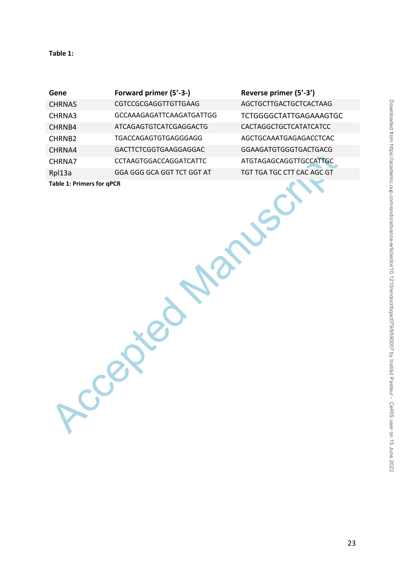## **Table 1:**

| Gene                      | Forward primer (5'-3-)          | R |
|---------------------------|---------------------------------|---|
| <b>CHRNA5</b>             | CGTCCGCGAGGTTGTTGAAG            | A |
| CHRNA3                    | <b>GCCAAAGAGATTCAAGATGATTGG</b> | Т |
| CHRNB4                    | <b>ATCAGAGTGTCATCGAGGACTG</b>   | C |
| CHRNB <sub>2</sub>        | TGACCAGAGTGTGAGGGAGG            | A |
| CHRNA4                    | GACTTCTCGGTGAAGGAGGAC           | G |
| CHRNA7                    | <b>CCTAAGTGGACCAGGATCATTC</b>   | Α |
| Rpl13a                    | GGA GGG GCA GGT TCT GGT AT      | Т |
| Table 1: Drimars for aDCD |                                 |   |

Ccepted Manuscript

**Gene Forward primer (5'-3-) Reverse primer (5'-3')**

AGCTGCTTGACTGCTCACTAAG CTGGGGCTATTGAGAAAGTGC CACTAGGCTGCTCATATCATCC **AGCTGCAAATGAGAGACCTCAC** GAAGATGTGGGTGACTGACG **TGTAGAGCAGGTTGCCATTGC** GT TGA TGC CTT CAC AGC GT

**Table 1: Primers for qPCR**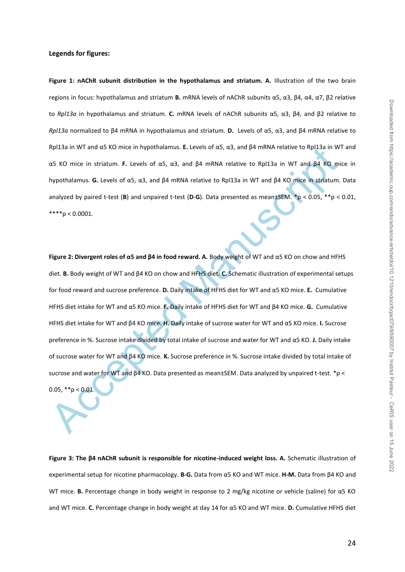#### **Legends for figures:**

**Figure 1: nAChR subunit distribution in the hypothalamus and striatum. A.** Illustration of the two brain regions in focus: hypothalamus and striatum **B.** mRNA levels of nAChR subunits α5, α3, β4, α4, α7, β2 relative to *Rpl13a* in hypothalamus and striatum. **C.** mRNA levels of nAChR subunits α5, α3, β4, and β2 relative to *Rpl13a* normalized to β4 mRNA in hypothalamus and striatum. **D.** Levels of α5, α3, and β4 mRNA relative to Rpl13a in WT and α5 KO mice in hypothalamus. **E.** Levels of α5, α3, and β4 mRNA relative to Rpl13a in WT and α5 KO mice in striatum. **F.** Levels of α5, α3, and β4 mRNA relative to Rpl13a in WT and β4 KO mice in hypothalamus. **G.** Levels of α5, α3, and β4 mRNA relative to Rpl13a in WT and β4 KO mice in striatum. Data analyzed by paired t-test (**B**) and unpaired t-test (**D**-**G**). Data presented as mean±SEM. \*p < 0.05, \*\*p < 0.01,  $***$  p < 0.0001.

Rpl 3a in WT and ds KO mice in hypothalamus. E. Levels of ds, d3, and B4 mRNA relative to Rpl 3a in W<br>as KO mice in striatum. F. Levels of ds, d3, and B4 mRNA relative to Rpl 3a in WT and B4 KO mice<br>hypothalamus. G. Levels **Figure 2: Divergent roles of α5 and β4 in food reward. A.** Body weight of WT and α5 KO on chow and HFHS diet. **B.** Body weight of WT and β4 KO on chow and HFHS diet. **C.** Schematic illustration of experimental setups for food reward and sucrose preference. **D.** Daily intake of HFHS diet for WT and α5 KO mice. **E.** Cumulative HFHS diet intake for WT and α5 KO mice. **F.** Daily intake of HFHS diet for WT and β4 KO mice. **G.** Cumulative HFHS diet intake for WT and β4 KO mice. **H.** Daily intake of sucrose water for WT and α5 KO mice. **I.** Sucrose preference in %. Sucrose intake divided by total intake of sucrose and water for WT and α5 KO. **J.** Daily intake of sucrose water for WT and β4 KO mice. **K.** Sucrose preference in %. Sucrose intake divided by total intake of sucrose and water for WT and β4 KO. Data presented as mean±SEM. Data analyzed by unpaired t-test. \*p < 0.05,  $*$ <sub>p</sub> < 0.01

**Figure 3: The β4 nAChR subunit is responsible for nicotine-induced weight loss. A.** Schematic illustration of experimental setup for nicotine pharmacology. **B-G.** Data from α5 KO and WT mice. **H-M.** Data from β4 KO and WT mice. **B.** Percentage change in body weight in response to 2 mg/kg nicotine or vehicle (saline) for α5 KO and WT mice. **C.** Percentage change in body weight at day 14 for α5 KO and WT mice. **D.** Cumulative HFHS diet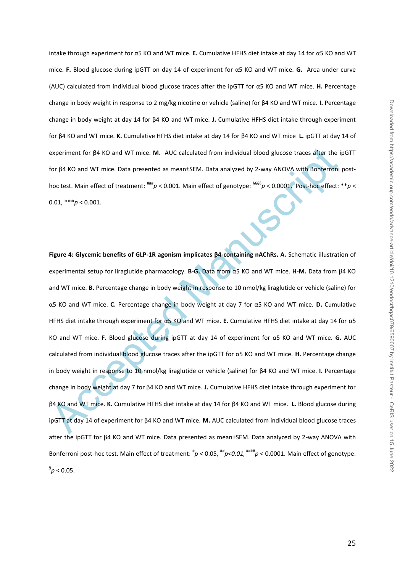intake through experiment for α5 KO and WT mice. **E.** Cumulative HFHS diet intake at day 14 for α5 KO and WT mice. **F.** Blood glucose during ipGTT on day 14 of experiment for α5 KO and WT mice. **G.** Area under curve (AUC) calculated from individual blood glucose traces after the ipGTT for α5 KO and WT mice. **H.** Percentage change in body weight in response to 2 mg/kg nicotine or vehicle (saline) for β4 KO and WT mice. **I.** Percentage change in body weight at day 14 for β4 KO and WT mice. **J.** Cumulative HFHS diet intake through experiment for β4 KO and WT mice. **K.** Cumulative HFHS diet intake at day 14 for β4 KO and WT mice **L.** ipGTT at day 14 of experiment for β4 KO and WT mice. **M.** AUC calculated from individual blood glucose traces after the ipGTT for β4 KO and WT mice. Data presented as mean±SEM. Data analyzed by 2-way ANOVA with Bonferroni posthoc test. Main effect of treatment:  $^{***}p$  < 0.001. Main effect of genotype:  $^{5555}p$  < 0.0001. Post-hoc effect: \*\**p* < 0.01,  $***p < 0.001$ .

experiment for β4 KO and WT mice. M. AUC calculated from individual blood glucose traces after the i<br>for β4 KO and WT mice. Data presented as mean±SEM. Data analyzed by 2-way ANOVA with Bonferroni<br>hoc test. Main effect of **Figure 4: Glycemic benefits of GLP-1R agonism implicates β4-containing nAChRs. A.** Schematic illustration of experimental setup for liraglutide pharmacology. **B-G.** Data from α5 KO and WT mice. **H-M.** Data from β4 KO and WT mice. **B.** Percentage change in body weight in response to 10 nmol/kg liraglutide or vehicle (saline) for α5 KO and WT mice. **C.** Percentage change in body weight at day 7 for α5 KO and WT mice. **D.** Cumulative HFHS diet intake through experiment for α5 KO and WT mice. **E.** Cumulative HFHS diet intake at day 14 for α5 KO and WT mice. **F.** Blood glucose during ipGTT at day 14 of experiment for α5 KO and WT mice. **G.** AUC calculated from individual blood glucose traces after the ipGTT for α5 KO and WT mice. **H.** Percentage change in body weight in response to 10 nmol/kg liraglutide or vehicle (saline) for β4 KO and WT mice. **I.** Percentage change in body weight at day 7 for β4 KO and WT mice. **J.** Cumulative HFHS diet intake through experiment for β4 KO and WT mice. **K.** Cumulative HFHS diet intake at day 14 for β4 KO and WT mice. **L.** Blood glucose during ipGTT at day 14 of experiment for β4 KO and WT mice. **M.** AUC calculated from individual blood glucose traces after the ipGTT for β4 KO and WT mice. Data presented as mean±SEM. Data analyzed by 2-way ANOVA with Bonferroni post-hoc test. Main effect of treatment:  $^{\#} \rho$  < 0.05,  $^{***} \rho$  < 0.01,  $^{***} \rho$  < 0.0001. Main effect of genotype:  $\frac{6}{9}$  < 0.05.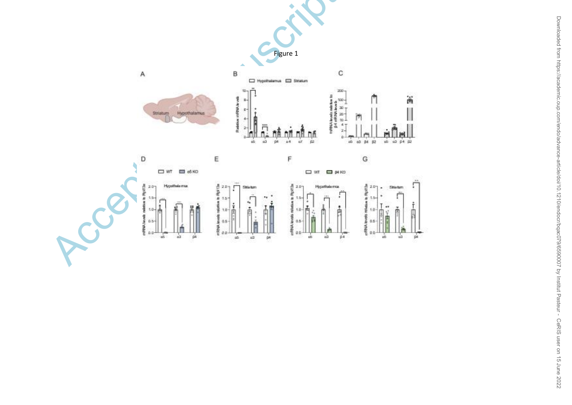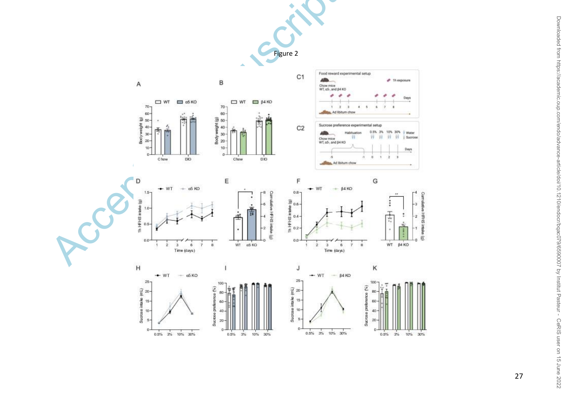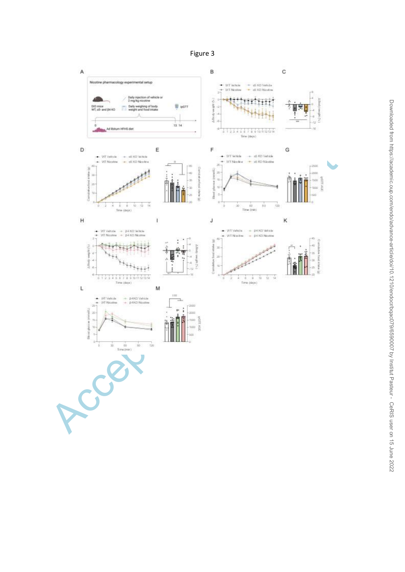Figure 3